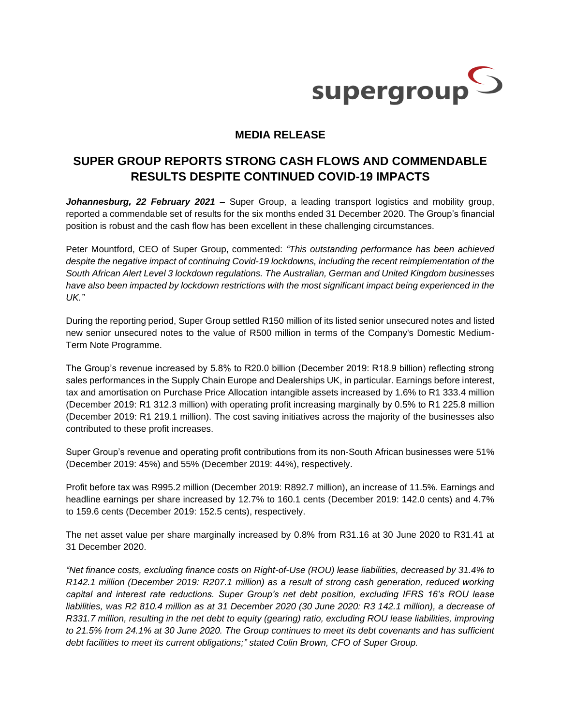

# **MEDIA RELEASE**

# **SUPER GROUP REPORTS STRONG CASH FLOWS AND COMMENDABLE RESULTS DESPITE CONTINUED COVID-19 IMPACTS**

*Johannesburg, 22 February 2021 –* Super Group, a leading transport logistics and mobility group, reported a commendable set of results for the six months ended 31 December 2020. The Group's financial position is robust and the cash flow has been excellent in these challenging circumstances.

Peter Mountford, CEO of Super Group, commented: *"This outstanding performance has been achieved despite the negative impact of continuing Covid-19 lockdowns, including the recent reimplementation of the South African Alert Level 3 lockdown regulations. The Australian, German and United Kingdom businesses have also been impacted by lockdown restrictions with the most significant impact being experienced in the UK."*

During the reporting period, Super Group settled R150 million of its listed senior unsecured notes and listed new senior unsecured notes to the value of R500 million in terms of the Company's Domestic Medium-Term Note Programme.

The Group's revenue increased by 5.8% to R20.0 billion (December 2019: R18.9 billion) reflecting strong sales performances in the Supply Chain Europe and Dealerships UK, in particular. Earnings before interest, tax and amortisation on Purchase Price Allocation intangible assets increased by 1.6% to R1 333.4 million (December 2019: R1 312.3 million) with operating profit increasing marginally by 0.5% to R1 225.8 million (December 2019: R1 219.1 million). The cost saving initiatives across the majority of the businesses also contributed to these profit increases.

Super Group's revenue and operating profit contributions from its non-South African businesses were 51% (December 2019: 45%) and 55% (December 2019: 44%), respectively.

Profit before tax was R995.2 million (December 2019: R892.7 million), an increase of 11.5%. Earnings and headline earnings per share increased by 12.7% to 160.1 cents (December 2019: 142.0 cents) and 4.7% to 159.6 cents (December 2019: 152.5 cents), respectively.

The net asset value per share marginally increased by 0.8% from R31.16 at 30 June 2020 to R31.41 at 31 December 2020.

*"Net finance costs, excluding finance costs on Right-of-Use (ROU) lease liabilities, decreased by 31.4% to R142.1 million (December 2019: R207.1 million) as a result of strong cash generation, reduced working capital and interest rate reductions. Super Group's net debt position, excluding IFRS 16's ROU lease liabilities, was R2 810.4 million as at 31 December 2020 (30 June 2020: R3 142.1 million), a decrease of R331.7 million, resulting in the net debt to equity (gearing) ratio, excluding ROU lease liabilities, improving to 21.5% from 24.1% at 30 June 2020. The Group continues to meet its debt covenants and has sufficient debt facilities to meet its current obligations;" stated Colin Brown, CFO of Super Group.*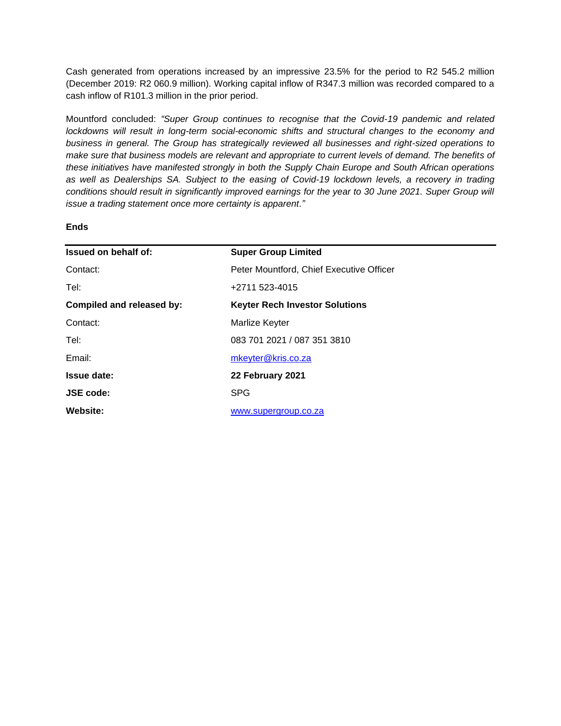Cash generated from operations increased by an impressive 23.5% for the period to R2 545.2 million (December 2019: R2 060.9 million). Working capital inflow of R347.3 million was recorded compared to a cash inflow of R101.3 million in the prior period.

Mountford concluded: *"Super Group continues to recognise that the Covid-19 pandemic and related lockdowns will result in long-term social-economic shifts and structural changes to the economy and business in general. The Group has strategically reviewed all businesses and right-sized operations to make sure that business models are relevant and appropriate to current levels of demand. The benefits of these initiatives have manifested strongly in both the Supply Chain Europe and South African operations as well as Dealerships SA. Subject to the easing of Covid-19 lockdown levels, a recovery in trading conditions should result in significantly improved earnings for the year to 30 June 2021. Super Group will issue a trading statement once more certainty is apparent."*

## **Ends**

| Issued on behalf of:      | <b>Super Group Limited</b>               |
|---------------------------|------------------------------------------|
| Contact:                  | Peter Mountford, Chief Executive Officer |
| Tel:                      | +2711 523-4015                           |
| Compiled and released by: | <b>Keyter Rech Investor Solutions</b>    |
| Contact:                  | Marlize Keyter                           |
| Tel:                      | 083 701 2021 / 087 351 3810              |
| Email:                    | mkeyter@kris.co.za                       |
| <b>Issue date:</b>        | 22 February 2021                         |
| <b>JSE code:</b>          | <b>SPG</b>                               |
| Website:                  | www.supergroup.co.za                     |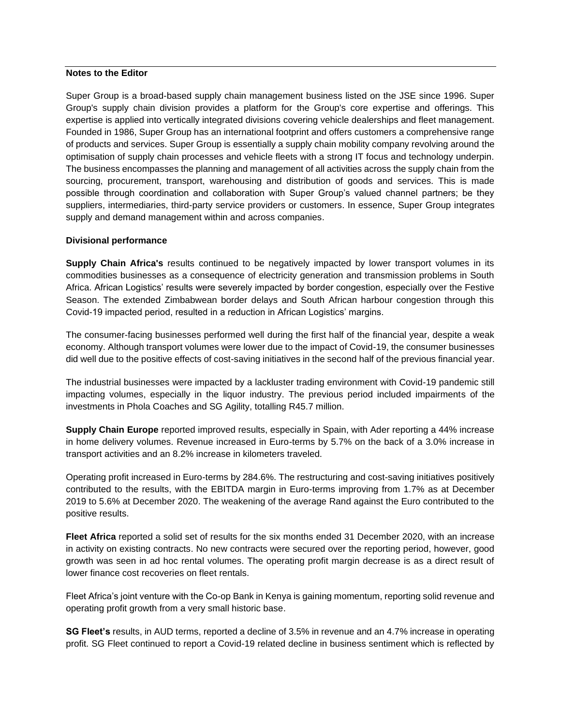### **Notes to the Editor**

Super Group is a broad-based supply chain management business listed on the JSE since 1996. Super Group's supply chain division provides a platform for the Group's core expertise and offerings. This expertise is applied into vertically integrated divisions covering vehicle dealerships and fleet management. Founded in 1986, Super Group has an international footprint and offers customers a comprehensive range of products and services. Super Group is essentially a supply chain mobility company revolving around the optimisation of supply chain processes and vehicle fleets with a strong IT focus and technology underpin. The business encompasses the planning and management of all activities across the supply chain from the sourcing, procurement, transport, warehousing and distribution of goods and services. This is made possible through coordination and collaboration with Super Group's valued channel partners; be they suppliers, intermediaries, third-party service providers or customers. In essence, Super Group integrates supply and demand management within and across companies.

### **Divisional performance**

**Supply Chain Africa's** results continued to be negatively impacted by lower transport volumes in its commodities businesses as a consequence of electricity generation and transmission problems in South Africa. African Logistics' results were severely impacted by border congestion, especially over the Festive Season. The extended Zimbabwean border delays and South African harbour congestion through this Covid-19 impacted period, resulted in a reduction in African Logistics' margins.

The consumer-facing businesses performed well during the first half of the financial year, despite a weak economy. Although transport volumes were lower due to the impact of Covid-19, the consumer businesses did well due to the positive effects of cost-saving initiatives in the second half of the previous financial year.

The industrial businesses were impacted by a lackluster trading environment with Covid-19 pandemic still impacting volumes, especially in the liquor industry. The previous period included impairments of the investments in Phola Coaches and SG Agility, totalling R45.7 million.

**Supply Chain Europe** reported improved results, especially in Spain, with Ader reporting a 44% increase in home delivery volumes. Revenue increased in Euro-terms by 5.7% on the back of a 3.0% increase in transport activities and an 8.2% increase in kilometers traveled.

Operating profit increased in Euro-terms by 284.6%. The restructuring and cost-saving initiatives positively contributed to the results, with the EBITDA margin in Euro-terms improving from 1.7% as at December 2019 to 5.6% at December 2020. The weakening of the average Rand against the Euro contributed to the positive results.

**Fleet Africa** reported a solid set of results for the six months ended 31 December 2020, with an increase in activity on existing contracts. No new contracts were secured over the reporting period, however, good growth was seen in ad hoc rental volumes. The operating profit margin decrease is as a direct result of lower finance cost recoveries on fleet rentals.

Fleet Africa's joint venture with the Co-op Bank in Kenya is gaining momentum, reporting solid revenue and operating profit growth from a very small historic base.

**SG Fleet's** results, in AUD terms, reported a decline of 3.5% in revenue and an 4.7% increase in operating profit. SG Fleet continued to report a Covid-19 related decline in business sentiment which is reflected by